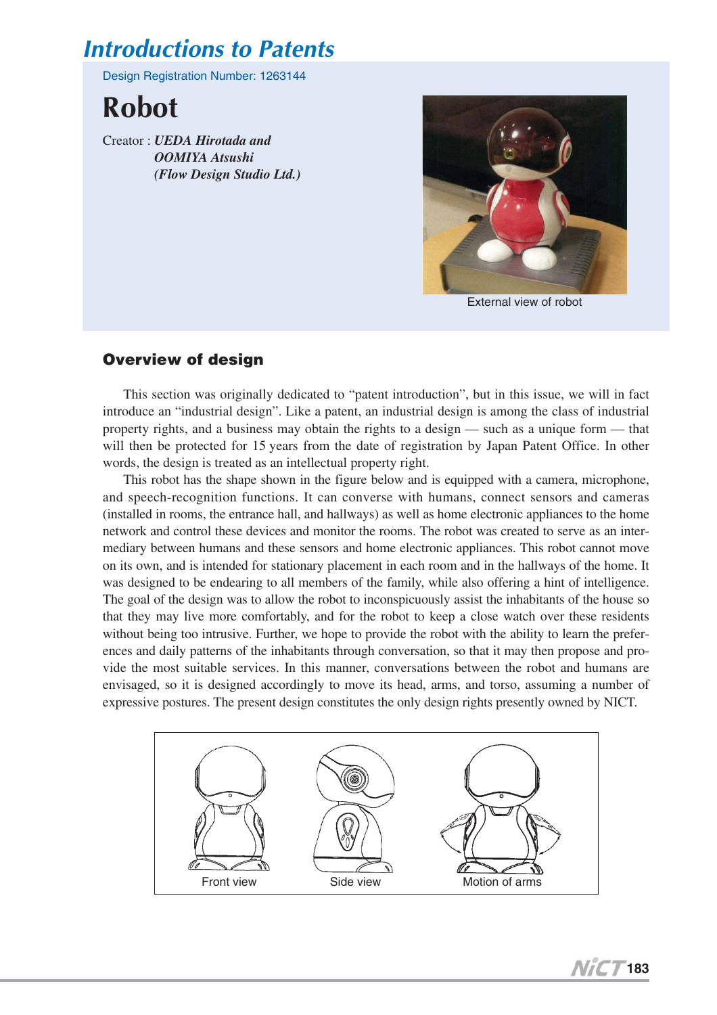# *Introductions to Patents*

Design Registration Number: 1263144

**Robot**

Creator : *UEDA Hirotada and OOMIYA Atsushi (Flow Design Studio Ltd.)*



External view of robot

### **Overview of design**

This section was originally dedicated to "patent introduction", but in this issue, we will in fact introduce an "industrial design". Like a patent, an industrial design is among the class of industrial property rights, and a business may obtain the rights to a design — such as a unique form — that will then be protected for 15 years from the date of registration by Japan Patent Office. In other words, the design is treated as an intellectual property right.

This robot has the shape shown in the figure below and is equipped with a camera, microphone, and speech-recognition functions. It can converse with humans, connect sensors and cameras (installed in rooms, the entrance hall, and hallways) as well as home electronic appliances to the home network and control these devices and monitor the rooms. The robot was created to serve as an intermediary between humans and these sensors and home electronic appliances. This robot cannot move on its own, and is intended for stationary placement in each room and in the hallways of the home. It was designed to be endearing to all members of the family, while also offering a hint of intelligence. The goal of the design was to allow the robot to inconspicuously assist the inhabitants of the house so that they may live more comfortably, and for the robot to keep a close watch over these residents without being too intrusive. Further, we hope to provide the robot with the ability to learn the preferences and daily patterns of the inhabitants through conversation, so that it may then propose and provide the most suitable services. In this manner, conversations between the robot and humans are envisaged, so it is designed accordingly to move its head, arms, and torso, assuming a number of expressive postures. The present design constitutes the only design rights presently owned by NICT.